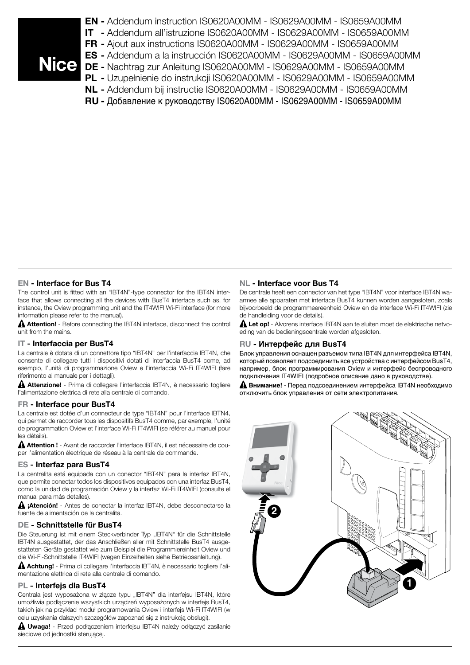- EN Addendum instruction IS0620A00MM IS0629A00MM IS0659A00MM IT - Addendum all'istruzione IS0620A00MM - IS0629A00MM - IS0659A00MM FR - Ajout aux instructions IS0620A00MM - IS0629A00MM - IS0659A00MM ES - Addendum a la instrucción IS0620A00MM - IS0629A00MM - IS0659A00MM DE - Nachtrag zur Anleitung IS0620A00MM - IS0629A00MM - IS0659A00MM PL - Uzupełnienie do instrukcji IS0620A00MM - IS0629A00MM - IS0659A00MM NL - Addendum bij instructie IS0620A00MM - IS0629A00MM - IS0659A00MM
	- RU Добавление к руководству IS0620A00MM IS0629A00MM IS0659A00MM

# EN - Interface for Bus T4

The control unit is fitted with an "IBT4N"-type connector for the IBT4N interface that allows connecting all the devices with BusT4 interface such as, for instance, the Oview programming unit and the IT4WIFI Wi-Fi interface (for more information please refer to the manual).

Attention! - Before connecting the IBT4N interface, disconnect the control unit from the mains.

## IT - Interfaccia per BusT4

La centrale è dotata di un connettore tipo "IBT4N" per l'interfaccia IBT4N, che consente di collegare tutti i dispositivi dotati di interfaccia BusT4 come, ad esempio, l'unità di programmazione Oview e l'interfaccia Wi-Fi IT4WIFI (fare riferimento al manuale per i dettagli).

Attenzione! - Prima di collegare l'interfaccia IBT4N, è necessario togliere l'alimentazione elettrica di rete alla centrale di comando.

## FR - Interface pour BusT4

La centrale est dotée d'un connecteur de type "IBT4N" pour l'interface IBTN4, qui permet de raccorder tous les dispositifs BusT4 comme, par exemple, l'unité de programmation Oview et l'interface Wi-Fi IT4WIFI (se référer au manuel pour les détails).

Attention ! - Avant de raccorder l'interface IBT4N, il est nécessaire de couper l'alimentation électrique de réseau à la centrale de commande.

#### ES - Interfaz para BusT4

La centralita está equipada con un conector "IBT4N" para la interfaz IBT4N, que permite conectar todos los dispositivos equipados con una interfaz BusT4, como la unidad de programación Oview y la interfaz Wi-Fi IT4WIFI (consulte el manual para más detalles).

¡Atención! - Antes de conectar la interfaz IBT4N, debe desconectarse la fuente de alimentación de la centralita.

## DE - Schnittstelle für BusT4

Die Steuerung ist mit einem Steckverbinder Typ "IBT4N" für die Schnittstelle IBT4N ausgestattet, der das Anschließen aller mit Schnittstelle BusT4 ausgestatteten Geräte gestattet wie zum Beispiel die Programmiereinheit Oview und die Wi-Fi-Schnittstelle IT4WIFI (wegen Einzelheiten siehe Betriebsanleitung).

Achtung! - Prima di collegare l'interfaccia IBT4N, è necessario togliere l'alimentazione elettrica di rete alla centrale di comando.

## PL - Interfejs dla BusT4

Centrala jest wyposażona w złącze typu "IBT4N" dla interfejsu IBT4N, które umożliwia podłączenie wszystkich urządzeń wyposażonych w interfejs BusT4, takich jak na przykład moduł programowania Oview i interfejs Wi-Fi IT4WIFI (w celu uzyskania dalszych szczegółów zapoznać się z instrukcją obsługi).

Uwaga! - Przed podłączeniem interfejsu IBT4N należy odłączyć zasilanie sieciowe od jednostki sterującej.

# NL - Interface voor Bus T4

De centrale heeft een connector van het type "IBT4N" voor interface IBT4N waarmee alle apparaten met interface BusT4 kunnen worden aangesloten, zoals bijvoorbeeld de programmeereenheid Oview en de interface Wi-Fi IT4WIFI (zie de handleiding voor de details).

Let op! - Alvorens interface IBT4N aan te sluiten moet de elektrische netvoeding van de bedieningscentrale worden afgesloten.

## RU - **Интерфейс для BusT4**

Блок управления оснащен разъемом типа IBT4N для интерфейса IBT4N, который позволяет подсоединить все устройства с интерфейсом BusT4, например, блок программирования Oview и интерфейс беспроводного подключения IT4WIFI (подробное описание дано в руководстве).

**Внимание!** - Перед подсоединением интерфейса IBT4N необходимо отключить блок управления от сети электропитания.